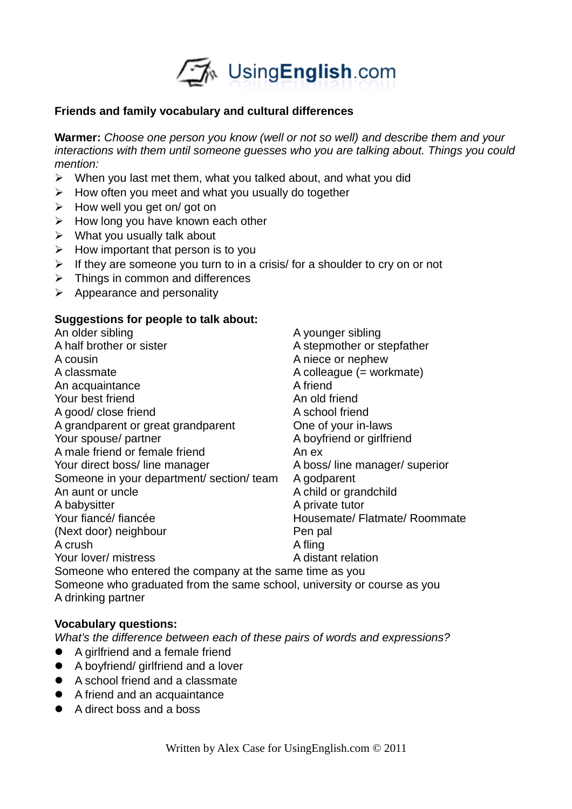

## **Friends and family vocabulary and cultural differences**

**Warmer:** *Choose one person you know (well or not so well) and describe them and your interactions with them until someone guesses who you are talking about. Things you could mention:*

- $\triangleright$  When you last met them, what you talked about, and what you did
- $\triangleright$  How often you meet and what you usually do together
- $\triangleright$  How well you get on/ got on
- $\triangleright$  How long you have known each other
- $\triangleright$  What you usually talk about
- $\triangleright$  How important that person is to you
- $\triangleright$  If they are someone you turn to in a crisis/ for a shoulder to cry on or not
- $\triangleright$  Things in common and differences
- $\triangleright$  Appearance and personality

### **Suggestions for people to talk about:**

| An older sibling                                                        | A younger sibling             |
|-------------------------------------------------------------------------|-------------------------------|
| A half brother or sister                                                | A stepmother or stepfather    |
| A cousin                                                                | A niece or nephew             |
| A classmate                                                             | A colleague (= workmate)      |
| An acquaintance                                                         | A friend                      |
| Your best friend                                                        | An old friend                 |
| A good/ close friend                                                    | A school friend               |
| A grandparent or great grandparent                                      | One of your in-laws           |
| Your spouse/ partner                                                    | A boyfriend or girlfriend     |
| A male friend or female friend                                          | An ex                         |
| Your direct boss/ line manager                                          | A boss/line manager/ superior |
| Someone in your department/ section/ team                               | A godparent                   |
| An aunt or uncle                                                        | A child or grandchild         |
| A babysitter                                                            | A private tutor               |
| Your fiancé/ fiancée                                                    | Housemate/ Flatmate/ Roommate |
| (Next door) neighbour                                                   | Pen pal                       |
| A crush                                                                 | A fling                       |
| Your lover/ mistress                                                    | A distant relation            |
| Someone who entered the company at the same time as you                 |                               |
| Someone who graduated from the same school, university or course as you |                               |
|                                                                         |                               |

A drinking partner

## **Vocabulary questions:**

*What's the difference between each of these pairs of words and expressions?*

- A girlfriend and a female friend
- A boyfriend/ girlfriend and a lover
- A school friend and a classmate
- A friend and an acquaintance
- A direct boss and a boss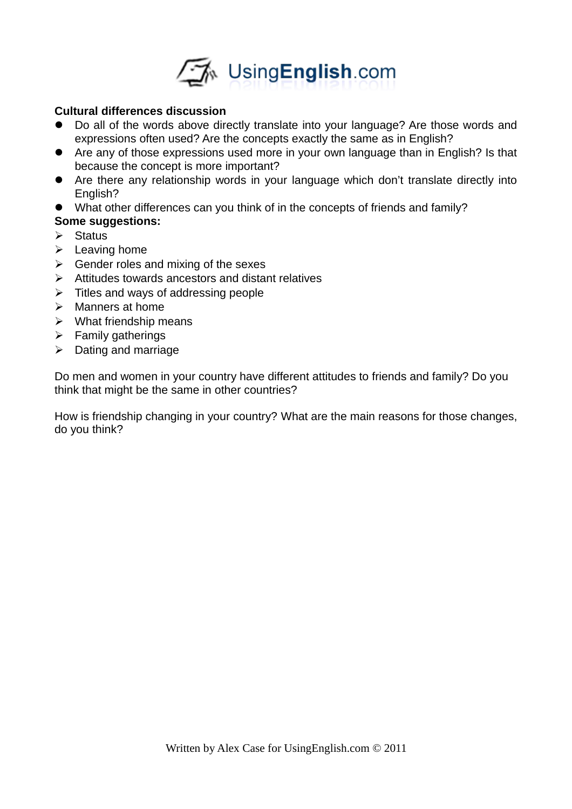

# **Cultural differences discussion**

- Do all of the words above directly translate into your language? Are those words and expressions often used? Are the concepts exactly the same as in English?
- Are any of those expressions used more in your own language than in English? Is that because the concept is more important?
- Are there any relationship words in your language which don't translate directly into English?
- What other differences can you think of in the concepts of friends and family?

# **Some suggestions:**

- $\triangleright$  Status
- $\blacktriangleright$  Leaving home
- $\triangleright$  Gender roles and mixing of the sexes
- $\triangleright$  Attitudes towards ancestors and distant relatives
- $\triangleright$  Titles and ways of addressing people
- $\triangleright$  Manners at home
- $\triangleright$  What friendship means
- $\triangleright$  Family gatherings
- $\triangleright$  Dating and marriage

Do men and women in your country have different attitudes to friends and family? Do you think that might be the same in other countries?

How is friendship changing in your country? What are the main reasons for those changes, do you think?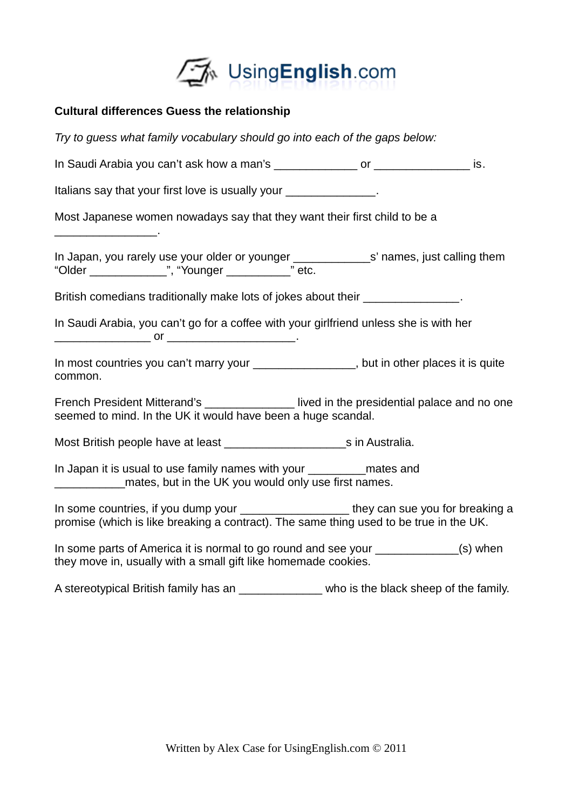

# **Cultural differences Guess the relationship**

 $\overline{\phantom{a}}$  . The set of the set of the set of the set of the set of the set of the set of the set of the set of the set of the set of the set of the set of the set of the set of the set of the set of the set of the set o

*Try to guess what family vocabulary should go into each of the gaps below:*

In Saudi Arabia you can't ask how a man's example of the same or the same is.

Italians say that your first love is usually your  $\qquad \qquad$ .

Most Japanese women nowadays say that they want their first child to be a

In Japan, you rarely use your older or younger **with the solution set of them** s' names, just calling them "Older \_\_\_\_\_\_\_\_\_\_\_\_", "Younger \_\_\_\_\_\_\_\_\_\_" etc.

British comedians traditionally make lots of jokes about their **Example 20** Fig.

In Saudi Arabia, you can't go for a coffee with your girlfriend unless she is with her \_\_\_\_\_\_\_\_\_\_\_\_\_\_\_ or \_\_\_\_\_\_\_\_\_\_\_\_\_\_\_\_\_\_\_\_.

In most countries you can't marry your exact that in other places it is quite common.

French President Mitterand's **Example 2** lived in the presidential palace and no one seemed to mind. In the UK it would have been a huge scandal.

Most British people have at least \_\_\_\_\_\_\_\_\_\_\_\_\_\_\_\_\_\_\_s in Australia.

In Japan it is usual to use family names with your \_\_\_\_\_\_\_\_\_mates and mates, but in the UK you would only use first names.

In some countries, if you dump your they can sue you for breaking a promise (which is like breaking a contract). The same thing used to be true in the UK.

In some parts of America it is normal to go round and see your \_\_\_\_\_\_\_\_\_\_\_\_\_(s) when they move in, usually with a small gift like homemade cookies.

A stereotypical British family has an  $\blacksquare$  who is the black sheep of the family.